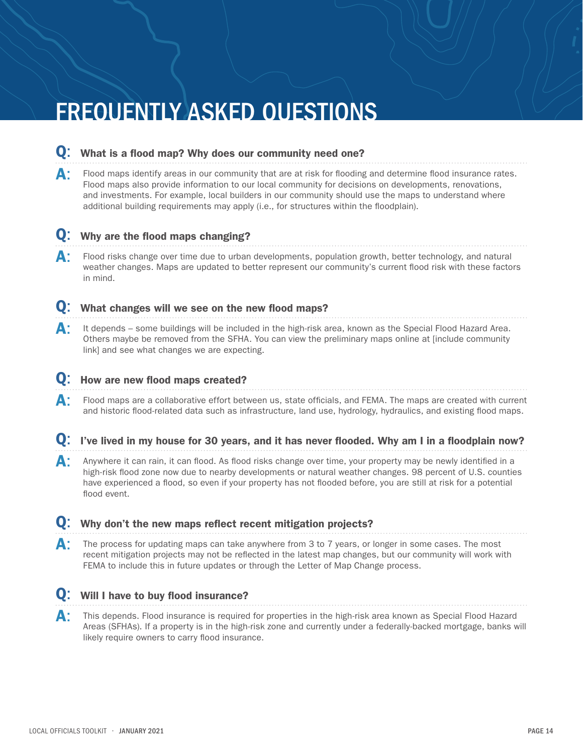# FREQUENTLY ASKED QUESTIONS

### Q: What is a flood map? Why does our community need one?

**A:** Flood maps identify areas in our community that are at risk for flooding and determine flood insurance rates. Flood maps also provide information to our local community for decisions on developments, renovations, and investments. For example, local builders in our community should use the maps to understand where additional building requirements may apply (i.e., for structures within the floodplain).

### Q: Why are the flood maps changing?

**A:** Flood risks change over time due to urban developments, population growth, better technology, and natural weather changes. Maps are updated to better represent our community's current flood risk with these factors in mind.

### Q: What changes will we see on the new flood maps?

A: It depends – some buildings will be included in the high-risk area, known as the Special Flood Hazard Area. Others maybe be removed from the SFHA. You can view the preliminary maps online at [include community link] and see what changes we are expecting.

#### Q: How are new flood maps created?

- **A:** Flood maps are a collaborative effort between us, state officials, and FEMA. The maps are created with current and historic flood-related data such as infrastructure, land use, hydrology, hydraulics, and existing flood maps.
- Q: I've lived in my house for 30 years, and it has never flooded. Why am I in a floodplain now?
- A: Anywhere it can rain, it can flood. As flood risks change over time, your property may be newly identified in a high-risk flood zone now due to nearby developments or natural weather changes. 98 percent of U.S. counties have experienced a flood, so even if your property has not flooded before, you are still at risk for a potential flood event.

### Q: Why don't the new maps reflect recent mitigation projects?

A: The process for updating maps can take anywhere from 3 to 7 years, or longer in some cases. The most recent mitigation projects may not be reflected in the latest map changes, but our community will work with FEMA to include this in future updates or through the Letter of Map Change process.

### **O**: Will I have to buy flood insurance?

A: This depends. Flood insurance is required for properties in the high-risk area known as Special Flood Hazard Areas (SFHAs). If a property is in the high-risk zone and currently under a federally-backed mortgage, banks will likely require owners to carry flood insurance.